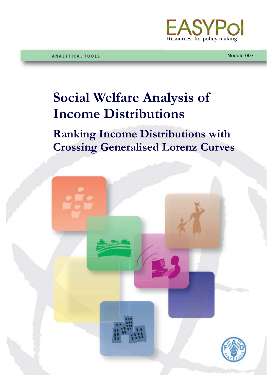

Module 003

## **Social Welfare Analysis of Income Distributions**

**Ranking Income Distributions with Crossing Generalised Lorenz Curves**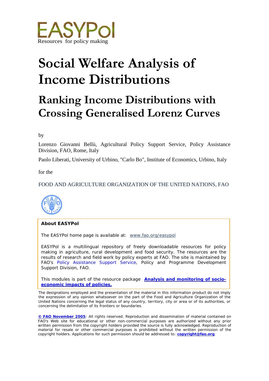

# **Social Welfare Analysis of Income Distributions**

## **Ranking Income Distributions with Crossing Generalised Lorenz Curves**

by

Lorenzo Giovanni Bellù, Agricultural Policy Support Service, Policy Assistance Division, FAO, Rome, Italy

Paolo Liberati, University of Urbino, "Carlo Bo", Institute of Economics, Urbino, Italy

for the

## FOOD AND AGRICULTURE ORGANIZATION OF THE UNITED NATIONS, FAO



#### **About EASYPol**

The EASYPol home page is available at: *[www.fao.org/easypol](http://www.fao.org/easypol)*

EASYPol is a multilingual repository of freely downloadable resources for policy making in agriculture, rural development and food security. The resources are the results of research and field work by policy experts at FAO. The site is maintained by FAO's *[Policy Assistance Support Service](http://www.fao.org/tc/policy-support)*, Policy and Programme Development Support Division, FAO.

This modules is part of the resource package **[Analysis and monitoring of socio](http://www.fao.org/easypol/output/browse_by_training_path.asp?Lchain=&id=303&id_cat=303&display=&first=&type=&latestrecords=&pub_id=303&abstr_type=&abstr=&menuitem=&ascdes=&ordenAnt=4&orden=4&boton=1&Direccion=4)[economic impacts of policies.](http://www.fao.org/easypol/output/browse_by_training_path.asp?Lchain=&id=303&id_cat=303&display=&first=&type=&latestrecords=&pub_id=303&abstr_type=&abstr=&menuitem=&ascdes=&ordenAnt=4&orden=4&boton=1&Direccion=4)**

The designations employed and the presentation of the material in this information product do not imply the expression of any opinion whatsoever on the part of the Food and Agriculture Organization of the United Nations concerning the legal status of any country, territory, city or area or of its authorities, or concerning the delimitation of its frontiers or boundaries.

**[© FAO November](http://www.fao.org/copyright_EN.htm) 2005**: All rights reserved. Reproduction and dissemination of material contained on FAO's Web site for educational or other non-commercial purposes are authorized without any prior written permission from the copyright holders provided the source is fully acknowledged. Reproduction of material for resale or other commercial purposes is prohibited without the written permission of the copyright holders. Applications for such permission should be addressed to: **[copyright@fao.org](mailto:copyright@fao.org)**.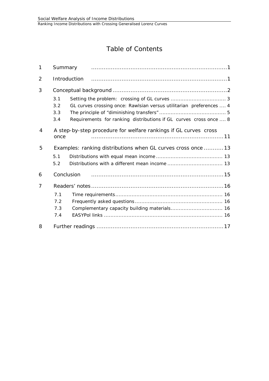## Table of Contents

| $\mathbf 1$ | Summary                                                                                                                                                              |
|-------------|----------------------------------------------------------------------------------------------------------------------------------------------------------------------|
| 2           | Introduction                                                                                                                                                         |
| 3           | 3.1<br>GL curves crossing once: Rawlsian versus utilitarian preferences  4<br>3.2<br>3.3<br>Requirements for ranking distributions if GL curves cross once  8<br>3.4 |
| 4           | A step-by-step procedure for welfare rankings if GL curves cross<br>once                                                                                             |
| 5           | Examples: ranking distributions when GL curves cross once  13<br>5.1<br>5.2                                                                                          |
| 6           | Conclusion                                                                                                                                                           |
| 7           | 7.1<br>7.2<br>7.3<br>7.4                                                                                                                                             |
| 8           |                                                                                                                                                                      |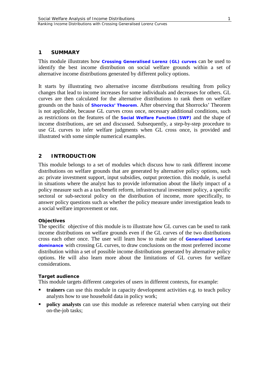<span id="page-3-0"></span>This module illustrates how **[Crossing Generalised Lorenz \(GL\)](http://www.fao.org/tc/easypol/output/glossary_term.asp?id=14981) curves** can be used to identify the best income distribution on social welfare grounds within a set of alternative income distributions generated by different policy options.

It starts by illustrating two alternative income distributions resulting from policy changes that lead to income increases for some individuals and decreases for others. GL curves are then calculated for the alternative distributions to rank them on welfare grounds on the basis of **[Shorrocks'](http://www.fao.org/tc/easypol/output/glossary_term.asp?id=14962) Theorem**. After observing that Shorrocks' Theorem is not applicable, because GL curves cross once, necessary additional conditions, such as restrictions on the features of the **[Social Welfare Function](http://www.fao.org/tc/easypol/output/glossary_term.asp?id=14941) (SWF)** and the shape of income distributions, are set and discussed. Subsequently, a step-by-step procedure to use GL curves to infer welfare judgments when GL cross once, is provided and illustrated with some simple numerical examples.

#### <span id="page-3-1"></span>**2 INTRODUCTION**

This module belongs to a set of modules which discuss how to rank different income distributions on welfare grounds that are generated by alternative policy options, such as: private investment support, input subsidies, output protection. this module, is useful in situations where the analyst has to provide information about the likely impact of a policy measure such as a tax/benefit reform, infrastructural investment policy, a specific sectoral or sub-sectoral policy on the distribution of income, more specifically, to answer policy questions such as whether the policy measure under investigation leads to a social welfare improvement or not.

#### **Objectives**

The specific objective of this module is to illustrate how GL curves can be used to rank income distributions on welfare grounds even if the GL curves of the two distributions cross each other once. The user will learn how to make use of **[Generalised Lorenz](http://www.fao.org/tc/easypol/output/glossary_term.asp?id=14942)  [dominance](http://www.fao.org/tc/easypol/output/glossary_term.asp?id=14942)** with crossing GL curves, to draw conclusions on the most preferred income distribution within a set of possible income distributions generated by alternative policy options. He will also learn more about the limitations of GL curves for welfare considerations.

#### **Target audience**

This module targets different categories of users in different contexts, for example:

- **trainers** can use this module in capacity development activities e.g. to teach policy analysts how to use household data in policy work;
- **policy analysts** can use this module as reference material when carrying out their on-the-job tasks;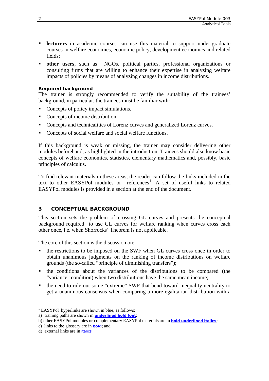- **lecturers** in academic courses can use this material to support under-graduate courses in welfare economics, economic policy, development economics and related fields;
- **other users,** such as NGOs, political parties, professional organizations or consulting firms that are willing to enhance their expertise in analyzing welfare impacts of policies by means of analyzing changes in income distributions.

#### **Required background**

The trainer is strongly recommended to verify the suitability of the trainees' background, in particular, the trainees must be familiar with:

- Concepts of policy impact simulations.
- Concepts of income distribution.
- Concepts and technicalities of Lorenz curves and generalized Lorenz curves.
- Concepts of social welfare and social welfare functions.

If this background is weak or missing, the trainer may consider delivering other modules beforehand, as highlighted in the introduction. Trainees should also know basic concepts of welfare economics, statistics, elementary mathematics and, possibly, basic principles of calculus.

To find relevant materials in these areas, the reader can follow the links included in the text to other EASYPol modules or  $references<sup>1</sup>$  $references<sup>1</sup>$  $references<sup>1</sup>$ . A set of useful links to related EASYPol modules is provided in a section at the end of the document.

## <span id="page-4-0"></span>**3 CONCEPTUAL BACKGROUND**

This section sets the problem of crossing GL curves and presents the conceptual background required to use GL curves for welfare ranking when curves cross each other once, i.e. when Shorrocks' Theorem is not applicable.

The core of this section is the discussion on:

- the restrictions to be imposed on the SWF when GL curves cross once in order to obtain unanimous judgments on the ranking of income distributions on welfare grounds (the so-called "principle of diminishing transfers");
- the conditions about the variances of the distributions to be compared (the "variance" condition) when two distributions have the same mean income;
- the need to rule out some "extreme" SWF that bend toward inequality neutrality to get a unanimous consensus when comparing a more egalitarian distribution with a

<span id="page-4-1"></span><sup>&</sup>lt;sup>1</sup> EASYPol hyperlinks are shown in blue, as follows:

a) training paths are shown in **underlined bold font**;

b) other EASYPol modules or complementary EASYPol materials are in *bold underlined italics;*

c) links to the glossary are in **bold**; and

d) external links are in *italics*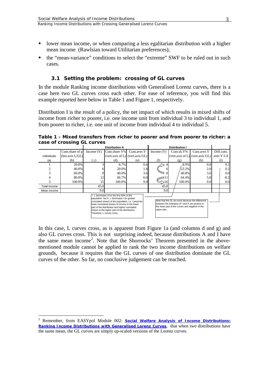- Ranking Income Distributions with Crossing Generalised Lorenz Curves
- lower mean income, or when comparing a less egalitarian distribution with a higher mean income (Rawlsian toward Utilitarian preferences);
- <span id="page-5-0"></span> the "mean-variance" conditions to select the "extreme" SWF to be ruled out in such cases.

## **3.1 Setting the problem: crossing of GL curves**

In the module Ranking income distributions with Generalised Lorenz curves, there is a case here two GL curves cross each other. For ease of reference, you will find this example reported here below in Table 1 and Figure 1, respectively.

Distribution I is the result of a policy, the net impact of which results in mixed shifts of income from richer to poorer, i.e. one income unit from individual 3 to individual 1, and from poorer to richer, i.e. one unit of income from individual 4 to individual 5.

**Table 1 - Mixed transfers from richer to poorer and from poorer to richer: a case of crossing GL curves**

|                                                                                                                                                                                                                                                                                                                                                                                                                                                                                                            |                  | <b>Distribution A</b> |                                       |            | <b>Distribution I</b> |                                       |            |                    |
|------------------------------------------------------------------------------------------------------------------------------------------------------------------------------------------------------------------------------------------------------------------------------------------------------------------------------------------------------------------------------------------------------------------------------------------------------------------------------------------------------------|------------------|-----------------------|---------------------------------------|------------|-----------------------|---------------------------------------|------------|--------------------|
|                                                                                                                                                                                                                                                                                                                                                                                                                                                                                                            | Cum.share of $p$ | Income $(Y)$          | Cum.share Y%                          | Cum.aver.Y | Income $(Y)$          | $Cum.sh.Y\%$                          | Cum.aver.Y | Diff.cum.          |
| Individuals                                                                                                                                                                                                                                                                                                                                                                                                                                                                                                | (hor. axis L/GL) |                       | (vert.axis of $L$ ) (vert.axis $GL$ ) |            |                       | (vert.axis of $L$ ) (vert.axis $GL$ ) |            | aver.Y I-A         |
| (a)                                                                                                                                                                                                                                                                                                                                                                                                                                                                                                        | (b)              | (c)                   | (d)                                   | (e)        | (f)                   | (g)                                   | (h)        | $\left( 1 \right)$ |
|                                                                                                                                                                                                                                                                                                                                                                                                                                                                                                            | 20.0%            |                       | 6.7%                                  | 0.6        |                       | 8.9%                                  | 0.8        | 0.2                |
|                                                                                                                                                                                                                                                                                                                                                                                                                                                                                                            | 40.0%            |                       | 20.0%                                 | 1.8        | b                     | $22.2\%$                              | 2.0        | 0.2                |
|                                                                                                                                                                                                                                                                                                                                                                                                                                                                                                            | 60.0%            |                       | 40.0%                                 | 3.6        |                       | 40.0%                                 | 3.6        | 0.0                |
|                                                                                                                                                                                                                                                                                                                                                                                                                                                                                                            | 80.0%            | 12                    | 66.7%                                 | 6.0        |                       | 64.4%                                 | 5.8        | $-0.2$             |
|                                                                                                                                                                                                                                                                                                                                                                                                                                                                                                            | 100.0%           | 15                    | 100.0%                                | 9.0        |                       | 100.0%                                | 9.0        | 0.0                |
| Total income                                                                                                                                                                                                                                                                                                                                                                                                                                                                                               |                  | 45.0                  |                                       |            | 45.0                  |                                       |            |                    |
| Mean income                                                                                                                                                                                                                                                                                                                                                                                                                                                                                                |                  | 9.0                   |                                       |            | 9.0                   |                                       |            |                    |
| I L dominates A for the first 60% of the<br>population but A L dominates I for greater<br>Note that the GL do cross because the difference<br>cumulated shares of the population, i.e. I presents<br>between the ordinates of I and A are positive in<br>lower cumulated shares of income in the lower<br>the lower part of the curves and negative in the<br>part of the distribution and higher cumulated<br>upper part.<br>shares in the higher part of the distribution.<br>Therefore, L curves cross. |                  |                       |                                       |            |                       |                                       |            |                    |

In this case, L curves cross, as is apparent from Figure 1a (and columns d and g) and also GL curves cross. This is not surprising indeed, because distributions A and I have the same mean income<sup>[2](#page-5-1)</sup>. Note that the Shorrocks' Theorem presented in the abovementioned module cannot be applied to rank the two income distributions on welfare grounds, because it requires that the GL curves of one distribution dominate the GL curves of the other. So far, no conclusive judgement can be reached.

<span id="page-5-1"></span><sup>&</sup>lt;sup>2</sup> Remember, from EASYpol Module 002: **Social Welfare Analysis of Income Distributions:** *[Ranking Income Distributions with Generalised Lorenz Curves](http://www.fao.org/docs/up/easypol/306/swa_gen_lorenzcurves_002en.pdf)*, that when two distributions have the same mean, the GL curves are simply up-scaled versions of the Lorenz curves.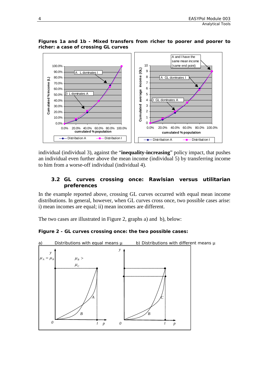#### **Figures 1a and 1b - Mixed transfers from richer to poorer and poorer to richer: a case of crossing GL curves**



individual (individual 3), against the "**inequality-increasing**" policy impact, that pushes an individual even further above the mean income (individual 5) by transferring income to him from a worse-off individual (individual 4).

## <span id="page-6-0"></span>**3.2 GL curves crossing once: Rawlsian versus utilitarian preferences**

In the example reported above, crossing GL curves occurred with equal mean income distributions. In general, however, when GL curves cross once, two possible cases arise: i) mean incomes are equal; ii) mean incomes are different.

The two cases are illustrated in Figure 2, graphs a) and b), below:

## **Figure 2 - GL curves crossing once: the two possible cases:**

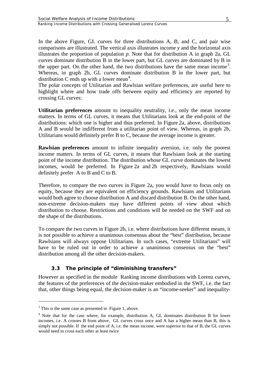In the above Figure, GL curves for three distributions A, B, and C, and pair wise comparisons are illustrated. The vertical axis illustrates income *y* and the horizontal axis illustrates the proportion of population *p*. Note that for distribution A in graph 2a, GL curves dominate distribution B in the lower part, but GL curves are dominated by B in the upper part. On the other hand, the two distributions have the same mean income<sup>[3](#page-7-1)</sup>. Whereas, in graph 2b, GL curves dominate distribution B in the lower part, but distribution C ends up with a lower mean<sup>[4](#page-7-2)</sup>.

The polar concepts of Utilitarian and Rawlsian welfare preferences, are useful here to highlight where and how trade offs between equity and efficiency are reported by crossing GL curves:

**Utilitarian preferences** amount to inequality neutrality, i.e., only the mean income matters. In terms of GL curves, it means that Utilitarians look at the end-point of the distributions: which one is higher and thus preferred. In Figure 2a, above, distributions A and B would be indifferent from a utilitarian point of view. Whereas, in graph 2b, Utilitarians would definitely prefer B to C, because the average income is greater.

**Rawlsian preferences** amount to infinite inequality aversion, i.e. only the poorest income matters. In terms of GL curves, it means that Rawlsians look at the starting point of the income distribution. The distribution whose GL curve dominates the lowest incomes, would be preferred. In Figure 2a and 2b respectively, Rawlsians would definitely prefer A to B and C to B.

Therefore, to compare the two curves in Figure 2a, you would have to focus only on equity, because they are equivalent on efficiency grounds. Rawlsians and Utilitarians would both agree to choose distribution A and discard distribution B. On the other hand, non-extreme decision-makers may have different points of view about which distribution to choose. Restrictions and conditions will be needed on the SWF and on the shape of the distributions.

To compare the two curves in Figure 2b, i.e. where distributions have different means, it is not possible to achieve a unanimous consensus about the "best" distribution, because Rawlsians will always oppose Utilitarians. In such cases, "extreme Utilitarians" will have to be ruled out in order to achieve a unanimous consensus on the "best" distribution among all the other decision-makers.

## <span id="page-7-0"></span>**3.3 The principle of "diminishing transfers"**

However as specified in the module Ranking income distributions with Lorenz curves, the features of the preferences of the decision-maker embodied in the SWF, i.e. the fact that, other things being equal, the decision-maker is an "income-seeker" and inequality-

<span id="page-7-1"></span> $3$  This is the same case as presented in Figure 1, above.

<span id="page-7-2"></span><sup>4</sup> Note that for the case where, for example, distribution A, GL dominates distribution B for lower incomes, i.e. A crosses B from above, GL curves cross once and A has a higher mean than B, this is simply not possible. If the end point of A, i.e. the mean income, were superior to that of B, the GL curves would need to cross each other at least twice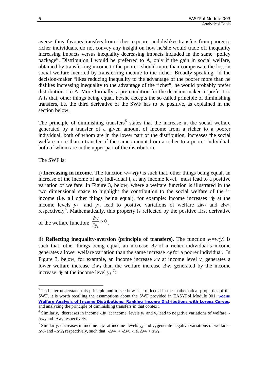averse, thus favours transfers from richer to poorer and dislikes transfers from poorer to richer individuals, do not convey any insight on how he/she would trade off inequality increasing impacts versus inequality decreasing impacts included in the same "policy package". Distribution I would be preferred to A, only if the gain in social welfare, obtained by transferring income to the poorer, should more than compensate the loss in social welfare incurred by transferring income to the richer. Broadly speaking, if the decision-maker "likes reducing inequality to the advantage of the poorer more than he dislikes increasing inequality to the advantage of the richer", he would probably prefer distribution I to A. More formally, a pre-condition for the decision-maker to prefer I to A is that, other things being equal, he/she accepts the so called principle of diminishing transfers, i.e. the third derivative of the SWF has to be positive, as explained in the section below.

The principle of diminishing transfers<sup>[5](#page-8-0)</sup> states that the increase in the social welfare generated by a transfer of a given amount of income from a richer to a poorer individual, both of whom are in the lower part of the distribution, increases the social welfare more than a transfer of the same amount from a richer to a poorer individual, both of whom are in the upper part of the distribution.

The SWF is:

i) **Increasing in income**. The function  $w=w(y)$  is such that, other things being equal, an increase of the income of any individual i, at any income level, must lead to a positive variation of welfare. In Figure 3, below, where a welfare function is illustrated in the two dimensional space to highlight the contribution to the social welfare of the i<sup>th</sup> income (i.e. all other things being equal), for example: income increases ∆*y* at the income levels  $y_1$  and  $y_3$ , lead to positive variations of welfare  $\Delta w_1$  and  $\Delta w_3$ , respectively<sup>[6](#page-8-1)</sup>. Mathematically, this property is reflected by the positive first derivative

 $> 0$ ∂ ∂  $y_i$ *w* of the welfare function:  $\frac{1}{\partial y} > 0$ .

ii) **Reflecting inequality-aversion (principle of transfers)**. The function  $w=w(y)$  is such that, other things being equal, an increase ∆*y* of a richer individual's income generates a lower welfare variation than the same increase ∆*y* for a poorer individual. In Figure 3, below, for example, an income increase ∆*y* at income level *y3* generates a lower welfare increase ∆*w3* than the welfare increase ∆*w1* generated by the income increase  $\Delta y$  at the income level  $y_I$ <sup>[7](#page-8-2)</sup>:

<span id="page-8-0"></span><sup>&</sup>lt;sup>5</sup> To better understand this principle and to see how it is reflected in the mathematical properties of the SWF, it is worth recalling the assumptions about the SWF provided in EASYPol Module 001: *[Social](http://www.fao.org/docs/up/easypol/305/swa_lorenz_curves_001en.pdf)  [Welfare Analysis of Income Distributions: Ranking Income Distributions with Lorenz Curves.](http://www.fao.org/docs/up/easypol/305/swa_lorenz_curves_001en.pdf)* and analyzing the principle of diminishing transfers in that context.

<span id="page-8-1"></span><sup>6</sup> Similarly, decreases in income -∆*y* at income levels *y2* and *y4* lead to negative variations of welfare, - ∆w2 and -∆w4 respectively.

<span id="page-8-2"></span><sup>7</sup> Similarly, decreases in income -∆*y* at income levels *y2* and *y4* generate negative variations of welfare -  $\Delta w_2$  and -  $\Delta w_4$  respectively, such that  $-\Delta w_2 < -\Delta w_4 - i.e.$   $\Delta w_2 > \Delta w_4$ .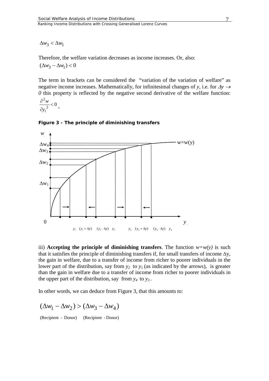$Δw_3 < Δw_1$ 

Therefore, the welfare variation decreases as income increases. Or, also:

 $(\Delta w_3 - \Delta w_1) < 0$ 

The term in brackets can be considered the "variation of the variation of welfare" as negative income increases. Mathematically, for infinitesimal changes of *y*, i.e. for  $\Delta y \rightarrow$ *0* this property is reflected by the negative second derivative of the welfare function:

$$
\frac{\partial^2 w}{\partial {y_i}^2} < 0.
$$



#### **Figure 3 - The principle of diminishing transfers**

iii) **Accepting the principle of diminishing transfers**. The function  $w=w(y)$  is such that it satisfies the principle of diminishing transfers if, for small transfers of income  $\Delta y$ , the gain in welfare, due to a transfer of income from richer to poorer individuals in the lower part of the distribution, say from  $y_2$  to  $y_1$  (as indicated by the arrows), is greater than the gain in welfare due to a transfer of income from richer to poorer individuals in the upper part of the distribution, say from  $y_4$  to  $y_3$ .

In other words, we can deduce from Figure 3, that this amounts to:

$$
(\Delta w_1 - \Delta w_2) > (\Delta w_3 - \Delta w_4)
$$

(Recipient - Donor) (Recipient - Donor)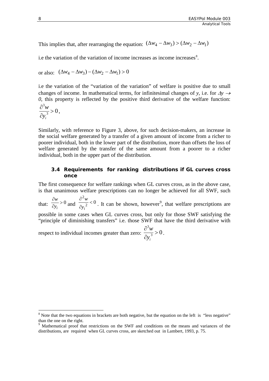This implies that, after rearranging the equation:  $(\Delta w_4 - \Delta w_3) > (\Delta w_2 - \Delta w_1)$ 

i.e the variation of the variation of income increases as income increases<sup>[8](#page-10-1)</sup>.

or also: 
$$
(\Delta w_4 - \Delta w_3) - (\Delta w_2 - \Delta w_1) > 0
$$

i.e the variation of the "variation of the variation" of welfare is positive due to small changes of income. In mathematical terms, for infinitesimal changes of *y*, i.e. for  $\Delta y \rightarrow$ *0*, this property is reflected by the positive third derivative of the welfare function:

$$
\frac{\partial^3 w}{\partial y_i^3} > 0.
$$

Similarly, with reference to Figure 3, above, for such decision-makers, an increase in the social welfare generated by a transfer of a given amount of income from a richer to poorer individual, both in the lower part of the distribution, more than offsets the loss of welfare generated by the transfer of the same amount from a poorer to a richer individual, both in the upper part of the distribution.

#### <span id="page-10-0"></span>**3.4 Requirements for ranking distributions if GL curves cross once**

The first consequence for welfare rankings when GL curves cross, as in the above case, is that unanimous welfare prescriptions can no longer be achieved for all SWF, such

that:  $\frac{\partial w}{\partial y_i} > 0$ ∂ *i y*  $\frac{w}{w} > 0$  and  $\frac{\partial^2 w}{\partial y^2} < 0$ 2  $\lt$ ∂ ∂  $y_i$ *w* . It can be shown, however<sup>[9](#page-10-2)</sup>, that welfare prescriptions are 3 possible in some cases when GL curves cross, but only for those SWF satisfying the "principle of diminishing transfers" i.e. those SWF that have the third derivative with

 $\frac{1}{3} > 0$ > ∂ ∂  $y_i$ *w* respect to individual incomes greater than zero:  $\frac{1}{2}$  > 0.

<span id="page-10-1"></span><sup>&</sup>lt;sup>8</sup> Note that the two equations in brackets are both negative, but the equation on the left is "less negative" than the one on the right.

<span id="page-10-2"></span><sup>&</sup>lt;sup>9</sup> Mathematical proof that restrictions on the SWF and conditions on the means and variances of the distributions, are required when GL curves cross, are sketched out in Lambert, 1993, p. 75.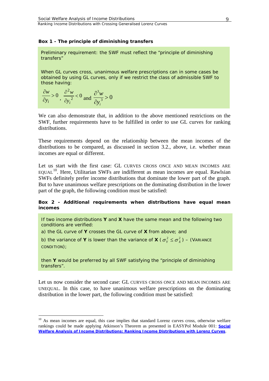#### **Box 1 - The principle of diminishing transfers**

Preliminary requirement: the SWF must reflect the "principle of diminishing transfers"

When GL curves cross, unanimous welfare prescriptions can in some cases be obtained by using GL curves, only if we restrict the class of admissible SWF to those having:

$$
\frac{\partial w}{\partial y_i} > 0, \frac{\partial^2 w}{\partial y_i^2} < 0 \text{ and } \frac{\partial^3 w}{\partial y_i^3} > 0
$$

We can also demonstrate that, in addition to the above mentioned restrictions on the SWF, further requirements have to be fulfilled in order to use GL curves for ranking distributions.

These requirements depend on the relationship between the mean incomes of the distributions to be compared, as discussed in section 3.2., above, i.e. whether mean incomes are equal or different.

Let us start with the first case: GL CURVES CROSS ONCE AND MEAN INCOMES ARE  $E\text{QUAL}^{10}$  $E\text{QUAL}^{10}$  $E\text{QUAL}^{10}$ . Here, Utilitarian SWFs are indifferent as mean incomes are equal. Rawlsian SWFs definitely prefer income distributions that dominate the lower part of the graph. But to have unanimous welfare prescriptions on the dominating distribution in the lower part of the graph, the following condition must be satisfied:

#### **Box 2 - Additional requirements when distributions have equal mean incomes**

If two income distributions **Y** and **X** have the same mean and the following two conditions are verified:

a) the GL curve of **Y** crosses the GL curve of **X** from above; and

b) the variance of **Y** is lower than the variance of **X** ( $\sigma_y^2 \leq \sigma_y^2$ ) – (VARIANCE CONDITION);

then **Y** would be preferred by all SWF satisfying the "principle of diminishing transfers".

Let us now consider the second case: GL CURVES CROSS ONCE AND MEAN INCOMES ARE UNEQUAL. In this case, to have unanimous welfare prescriptions on the dominating distribution in the lower part, the following condition must be satisfied:

<span id="page-11-0"></span><sup>&</sup>lt;sup>10</sup> As mean incomes are equal, this case implies that standard Lorenz curves cross, otherwise welfare rankings could be made applying Atkinson's Theorem as presented in EASYPol Module 001: *[Social](http://www.fao.org/docs/up/easypol/305/swa_lorenz_curves_001en.pdf)  [Welfare Analysis of Income Distributions: Ranking Income Distributions with Lorenz Curves](http://www.fao.org/docs/up/easypol/305/swa_lorenz_curves_001en.pdf)*.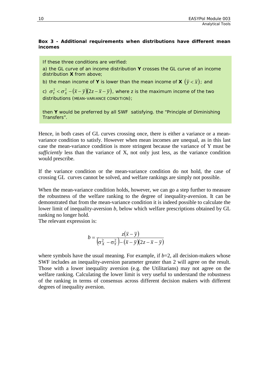#### **Box 3 - Additional requirements when distributions have different mean incomes**

If these three conditions are verified:

a) the GL curve of an income distribution **Y** crosses the GL curve of an income distribution **X** from above;

b) the mean income of **Y** is lower than the mean income of **X**  $(\bar{y} < \bar{x})$ ; and

c)  $\sigma_{y}^{2} < \sigma_{x}^{2} - (\bar{x} - \bar{y})(2z - \bar{x} - \bar{y})$ , where *z* is the maximum income of the two distributions (MEAN-VARIANCE CONDITION);

then **Y** would be preferred by all SWF satisfying. the "Principle of Diminishing Transfers".

Hence, in both cases of GL curves crossing once, there is either a variance or a meanvariance condition to satisfy. However when mean incomes are unequal, as in this last case the mean-variance condition is more stringent because the variance of Y must be *sufficiently* less than the variance of X, not only just less, as the variance condition would prescribe.

If the variance condition or the mean-variance condition do not hold, the case of crossing GL curves cannot be solved, and welfare rankings are simply not possible.

When the mean-variance condition holds, however, we can go a step further to measure the robustness of the welfare ranking to the degree of inequality-aversion. It can be demonstrated that from the mean-variance condition it is indeed possible to calculate the lower limit of inequality-aversion *b*, below which welfare prescriptions obtained by GL ranking no longer hold.

The relevant expression is:

$$
b = \frac{z(\overline{x} - \overline{y})}{(\sigma_X^2 - \sigma_Y^2) - (\overline{x} - \overline{y})(2z - \overline{x} - \overline{y})}
$$

<span id="page-12-0"></span>where symbols have the usual meaning. For example, if  $b=2$ , all decision-makers whose SWF includes an inequality-aversion parameter greater than 2 will agree on the result. Those with a lower inequality aversion (e.g. the Utilitarians) may not agree on the welfare ranking. Calculating the lower limit is very useful to understand the robustness of the ranking in terms of consensus across different decision makers with different degrees of inequality aversion.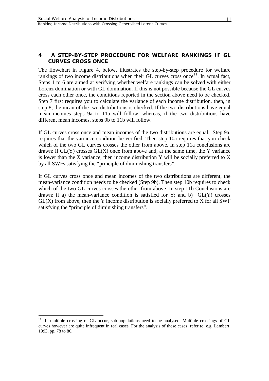## **4 A STEP-BY-STEP PROCEDURE FOR WELFARE RANKINGS IF GL CURVES CROSS ONCE**

The flowchart in Figure 4, below, illustrates the step-by-step procedure for welfare rankings of two income distributions when their GL curves cross once<sup>[11](#page-13-0)</sup>. In actual fact, Steps 1 to 6 are aimed at verifying whether welfare rankings can be solved with either Lorenz domination or with GL domination. If this is not possible because the GL curves cross each other once, the conditions reported in the section above need to be checked. Step 7 first requires you to calculate the variance of each income distribution. then, in step 8, the mean of the two distributions is checked. If the two distributions have equal mean incomes steps 9a to 11a will follow, whereas, if the two distributions have different mean incomes, steps 9b to 11b will follow.

If GL curves cross once and mean incomes of the two distributions are equal, Step 9a, requires that the variance condition be verified. Then step 10a requires that you check which of the two GL curves crosses the other from above. In step 11a conclusions are drawn: if  $GL(Y)$  crosses  $GL(X)$  once from above and, at the same time, the Y variance is lower than the X variance, then income distribution Y will be socially preferred to X by all SWFs satisfying the "principle of diminishing transfers".

If GL curves cross once and mean incomes of the two distributions are different, the mean-variance condition needs to be checked (Step 9b). Then step 10b requires to check which of the two GL curves crosses the other from above. In step 11b Conclusions are drawn: if a) the mean-variance condition is satisfied for Y; and b)  $GL(Y)$  crosses  $GL(X)$  from above, then the Y income distribution is socially preferred to X for all SWF satisfying the "principle of diminishing transfers".

<span id="page-13-0"></span><sup>&</sup>lt;sup>11</sup> If multiple crossing of GL occur, sub-populations need to be analysed. Multiple crossings of GL curves however are quite infrequent in real cases. For the analysis of these cases refer to, e.g. Lambert, 1993, pp. 78 to 80.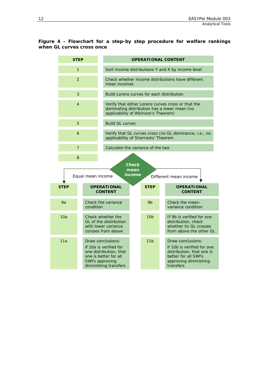#### **Figure 4 - Flowchart for a step-by step procedure for welfare rankings when GL curves cross once**

|             | <b>STEP</b>                                                                              |                                                                                                                                           | <b>OPERATIONAL CONTENT</b>                                                                                                                 |                 |                                                                                                       |                                                                                  |  |  |
|-------------|------------------------------------------------------------------------------------------|-------------------------------------------------------------------------------------------------------------------------------------------|--------------------------------------------------------------------------------------------------------------------------------------------|-----------------|-------------------------------------------------------------------------------------------------------|----------------------------------------------------------------------------------|--|--|
|             | $\mathbf{1}$                                                                             |                                                                                                                                           | Sort income distributions Y and X by income level                                                                                          |                 |                                                                                                       |                                                                                  |  |  |
|             | $\overline{a}$                                                                           |                                                                                                                                           | Check whether income distributions have different<br>mean incomes                                                                          |                 |                                                                                                       |                                                                                  |  |  |
|             | 3                                                                                        |                                                                                                                                           | Build Lorenz curves for each distribution                                                                                                  |                 |                                                                                                       |                                                                                  |  |  |
|             | 4                                                                                        |                                                                                                                                           | Verify that either Lorenz curves cross or that the<br>dominating distribution has a lower mean (no<br>applicability of Atkinson's Theorem) |                 |                                                                                                       |                                                                                  |  |  |
|             | 5                                                                                        | <b>Build GL curves</b>                                                                                                                    |                                                                                                                                            |                 |                                                                                                       |                                                                                  |  |  |
|             | 6                                                                                        | applicability of Shorrocks' Theorem                                                                                                       |                                                                                                                                            |                 |                                                                                                       | Verify that GL curves cross (no GL dominance, i.e., no                           |  |  |
|             | $\overline{7}$                                                                           |                                                                                                                                           | Calculate the variance of the two                                                                                                          |                 |                                                                                                       |                                                                                  |  |  |
|             | 8                                                                                        |                                                                                                                                           |                                                                                                                                            |                 |                                                                                                       |                                                                                  |  |  |
|             | <b>Check</b><br>mean<br>income<br>Equal mean income<br>Different mean income             |                                                                                                                                           |                                                                                                                                            |                 |                                                                                                       |                                                                                  |  |  |
| <b>STEP</b> |                                                                                          | <b>OPERATIONAL</b><br><b>CONTENT</b>                                                                                                      |                                                                                                                                            | <b>STEP</b>     |                                                                                                       | <b>OPERATIONAL</b><br><b>CONTENT</b>                                             |  |  |
| 9a          | condition                                                                                | Check the variance                                                                                                                        |                                                                                                                                            | 9 <sub>b</sub>  | Check the mean-<br>variance condition                                                                 |                                                                                  |  |  |
| 10a         | Check whether the<br>GL of the distirbution<br>with lower variance<br>corsses from above |                                                                                                                                           |                                                                                                                                            | 10 <sub>b</sub> | If 9b is verified for one<br>distribution, check<br>whether its GL crosses<br>from above the other GL |                                                                                  |  |  |
| 11a         |                                                                                          | Draw conclusions:<br>if 10a is verified for<br>one distribution, that<br>one is better for all<br>SWFs approving<br>diminishing transfers |                                                                                                                                            | 11 <sub>h</sub> | Draw conclusions:<br>better for all SWFs<br>transfers                                                 | if 10b is verified for one<br>distribution, that one is<br>approving diminishing |  |  |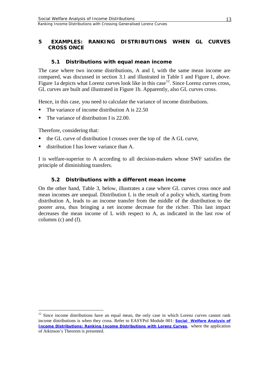## <span id="page-15-0"></span>**5 EXAMPLES: RANKING DISTRIBUTIONS WHEN GL CURVES CROSS ONCE**

## <span id="page-15-1"></span>**5.1 Distributions with equal mean income**

The case where two income distributions, A and I, with the same mean income are compared, was discussed in section 3.1 and illustrated in Table 1 and Figure 1, above. Figure 1a depicts what Lorenz curves look like in this case<sup>12</sup>. Since Lorenz curves cross, GL curves are built and illustrated in Figure 1b. Apparently, also GL curves cross.

Hence, in this case, you need to calculate the variance of income distributions.

- The variance of income distribution A is 22.50
- The variance of distribution I is 22.00.

Therefore, considering that:

- the GL curve of distribution I crosses over the top of the A GL curve,
- distribution I has lower variance than A.

I is welfare-superior to A according to all decision-makers whose SWF satisfies the principle of diminishing transfers.

## <span id="page-15-2"></span>**5.2 Distributions with a different mean income**

On the other hand, Table 3, below, illustrates a case where GL curves cross once and mean incomes are unequal. Distribution L is the result of a policy which, starting from distribution A, leads to an income transfer from the middle of the distribution to the poorer area, thus bringing a net income decrease for the richer. This last impact decreases the mean income of L with respect to A, as indicated in the last row of columns (c) and (f).

<span id="page-15-3"></span><sup>&</sup>lt;sup>12</sup> Since income distributions have an equal mean, the only case in which Lorenz curves cannot rank income distributions is when they cross. Refer to EASYPol Module 001: *[Social Welfare Analysis of](http://www.fao.org/docs/up/easypol/305/swa_lorenz_curves_001en.pdf)  [Income Distributions: Ranking Income Distributions with Lorenz Curves](http://www.fao.org/docs/up/easypol/305/swa_lorenz_curves_001en.pdf)*, where the application of Atkinson's Theorem is presented.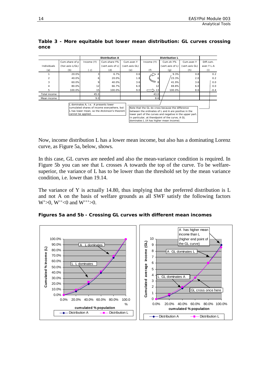|                                                                                                                                                                                                                                                                                                                                                                                                                                |                 |            | <b>Distribution A</b> |                |            | <b>Distribution L</b> |                |            |
|--------------------------------------------------------------------------------------------------------------------------------------------------------------------------------------------------------------------------------------------------------------------------------------------------------------------------------------------------------------------------------------------------------------------------------|-----------------|------------|-----------------------|----------------|------------|-----------------------|----------------|------------|
|                                                                                                                                                                                                                                                                                                                                                                                                                                | Cum.share of p  | Income (Y) | Cum.share Y%          | Cum.aver.Y     | Income (Y) | Cum.sh.Y%             | Cum.aver.Y     | Diff.cum.  |
| Individuals                                                                                                                                                                                                                                                                                                                                                                                                                    | (hor.axis L/GL) |            | (vert.axis of L)      | (vert.axis GL) |            | (vert.axis of L)      | (vert.axis GL) | aver Y L-A |
| (a)                                                                                                                                                                                                                                                                                                                                                                                                                            | (b)             | (c)        | (d)                   | (e)            | (f)        | (g)                   | (h)            | (i)        |
|                                                                                                                                                                                                                                                                                                                                                                                                                                | 20.0%           |            | 6.7%                  | 0.6            |            | 9.3%                  | 0.8            | 0.2        |
|                                                                                                                                                                                                                                                                                                                                                                                                                                | 40.0%           |            | 20.0%                 | 1.8            | 6          | 23.3%                 | 2.0            | 0.2        |
|                                                                                                                                                                                                                                                                                                                                                                                                                                | 60.0%           |            | 40.0%                 | 3.6            | 8          | 41.9%                 | 3.6            | 0.0        |
|                                                                                                                                                                                                                                                                                                                                                                                                                                | 80.0%           | 12         | 66.7%                 | 6.0            | 12         | 69.8%                 | 6.0            | 0.0        |
| 5                                                                                                                                                                                                                                                                                                                                                                                                                              | 100.0%          | 15         | 100.0%                | 9.0            | 13         | 100.0%                | 8.6            | $-0.4$     |
| Total income                                                                                                                                                                                                                                                                                                                                                                                                                   |                 | 45.0       |                       |                | 43.0       |                       |                |            |
| Mean income                                                                                                                                                                                                                                                                                                                                                                                                                    |                 | 9.0        |                       |                | 8.6        |                       |                |            |
| L dominates A, i.e. A presents lower<br>cumulated shares of income everywhere, but<br>Note that the GL do cross because the difference<br>L has lower mean, so the Atckinson's theorem<br>between the ordinates of L and A are positive in the<br>cannot be applied.<br>lower part of the curves and negative in the upper part.<br>In particular, at thendpoint of the curve, A GL<br>dominates L (A has higher mean income). |                 |            |                       |                |            |                       |                |            |

**Table 3 - More equitable but lower mean distribution: GL curves crossing once** 

Now, income distribution L has a lower mean income, but also has a dominating Lorenz curve, as Figure 5a, below, shows.

In this case, GL curves are needed and also the mean-variance condition is required. In Figure 5b you can see that L crosses A towards the top of the curve. To be welfaresuperior, the variance of L has to be lower than the threshold set by the mean variance condition, i.e. lower than 19.14.

The variance of Y is actually 14.80, thus implying that the preferred distribution is L and not A on the basis of welfare grounds as all SWF satisfy the following factors W'>0, W''<0 and W'''>0.

**Figures 5a and 5b - Crossing GL curves with different mean incomes**

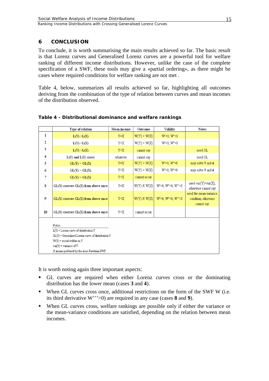#### <span id="page-17-0"></span>**6 CONCLUSION**

To conclude, it is worth summarising the main results achieved so far. The basic result is that Lorenz curves and Generalised Lorenz curves are a powerful tool for welfare ranking of different income distributions. However, unlike the case of the complete specification of a SWF, these tools may give a «partial ordering», as there might be cases where required conditions for welfare ranking are not met .

Table 4, below, summarizes all results achieved so far, highlighting all outcomes deriving from the combination of the type of relation between curves and mean incomes of the distribution observed.

|                | Type of relation                                                                                        | Mean income                                                                                                                                     | Outcome         | Validity              | Notes                                                        |  |  |  |  |
|----------------|---------------------------------------------------------------------------------------------------------|-------------------------------------------------------------------------------------------------------------------------------------------------|-----------------|-----------------------|--------------------------------------------------------------|--|--|--|--|
| $\bf{l}$       | L(Y) > L(X)                                                                                             | $Y = X$                                                                                                                                         | $W(Y)$ > $W(X)$ | $W > 0$ ; $W'' \le 0$ |                                                              |  |  |  |  |
| $\overline{2}$ | L(Y) > L(X)                                                                                             | Y>X                                                                                                                                             | $W(Y)$ > $W(X)$ | $W > 0$ ; $W < 0$     |                                                              |  |  |  |  |
| 3              | L(Y) > L(X)                                                                                             | Y < X                                                                                                                                           | cannot say      |                       | need GL                                                      |  |  |  |  |
| 4              | $L(Y)$ and $L(Y)$ cross                                                                                 | whatever                                                                                                                                        | cannot say      |                       | need GL                                                      |  |  |  |  |
| 5              | GL(Y) > GL(X)                                                                                           | $Y = X$                                                                                                                                         | $W(Y)$ > $W(X)$ | $W > 0$ ; $W'' \le 0$ | may solve 3 and 4                                            |  |  |  |  |
| 6              | GL(Y) > GL(X)                                                                                           | Y>X                                                                                                                                             | $W(Y)$ > $W(X)$ | $W > 0$ ; $W'' < 0$   | may solve 3 and 4                                            |  |  |  |  |
| 7              | GL(Y) > GL(X)                                                                                           | Y <x< th=""><th>cannot occur</th><th></th><th></th></x<>                                                                                        | cannot occur    |                       |                                                              |  |  |  |  |
| 8              | $GL(Y)$ crosses $GL(X)$ from above once                                                                 | Y=X                                                                                                                                             | W(Y) R W(X)     | W'>0; W"<0; W"'>0     | need $var(Y)$ < $var(X)$ ,<br>otherwise cannot say           |  |  |  |  |
| 9              | $GL(Y)$ crosses $GL(X)$ from above once                                                                 | Y <x< th=""><th>W(Y) R W(X)</th><th>W'&gt;0; W"&lt;0; W"'&gt;0</th><th>need the mean-variance<br/>condition, otherwise<br/>cannot say</th></x<> | W(Y) R W(X)     | W'>0; W"<0; W"'>0     | need the mean-variance<br>condition, otherwise<br>cannot say |  |  |  |  |
| 10             | $GL(Y)$ crosses $GL(X)$ from above once                                                                 | Y>X                                                                                                                                             | cannot occur    |                       |                                                              |  |  |  |  |
|                | Notes:<br>$L(Y)$ = Lorenz curve of distribution Y<br>GL(Y) = Generalised Lorenz curve of distribution Y |                                                                                                                                                 |                 |                       |                                                              |  |  |  |  |
|                | $W(Y)$ = social welfare in Y<br>$var(Y)$ = variance of Y                                                |                                                                                                                                                 |                 |                       |                                                              |  |  |  |  |
|                | R means preferred by the more Rawlsian SWF.                                                             |                                                                                                                                                 |                 |                       |                                                              |  |  |  |  |

**Table 4 - Distributional dominance and welfare rankings**

It is worth noting again three important aspects:

- GL curves are required when either Lorenz curves cross or the dominating distribution has the lower mean (cases **3** and **4**).
- When GL curves cross once, additional restrictions on the form of the SWF W (i.e. its third derivative W'''>0) are required in any case (cases **8** and **9**).
- When GL curves cross, welfare rankings are possible only if either the variance or the mean-variance conditions are satisfied, depending on the relation between mean incomes.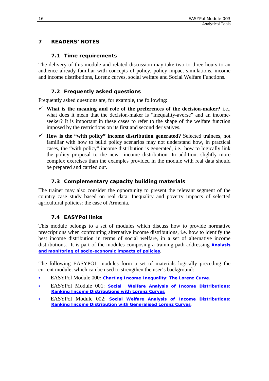## <span id="page-18-1"></span>**7 READERS' NOTES**

#### <span id="page-18-0"></span>**7.1 Time requirements**

The delivery of this module and related discussion may take two to three hours to an audience already familiar with concepts of policy, policy impact simulations, income and income distributions, Lorenz curves, social welfare and Social Welfare Functions.

## <span id="page-18-2"></span>**7.2 Frequently asked questions**

Frequently asked questions are, for example, the following:

- **What is the meaning and role of the preferences of the decision-maker?** i.e., what does it mean that the decision-maker is "inequality-averse" and an incomeseeker? It is important in these cases to refer to the shape of the welfare function imposed by the restrictions on its first and second derivatives.
- **How is the "with policy" income distribution generated?** Selected trainees, not familiar with how to build policy scenarios may not understand how, in practical cases, the "with policy" income distribution is generated, i.e., how to logically link the policy proposal to the new income distribution. In addition, slightly more complex exercises than the examples provided in the module with real data should be prepared and carried out.

## <span id="page-18-3"></span>**7.3 Complementary capacity building materials**

The trainer may also consider the opportunity to present the relevant segment of the country case study based on real data: Inequality and poverty impacts of selected agricultural policies: the case of Armenia.

## <span id="page-18-4"></span>**7.4 EASYPol links**

This module belongs to a set of modules which discuss how to provide normative prescriptions when confronting alternative income distributions, i.e. how to identify the best income distribution in terms of social welfare, in a set of alternative income distributions. It is part of the modules composing a training path addressing **[Analysis](http://www.fao.org/easypol/output/browse_by_training_path.asp?Lchain=&id=303&id_cat=303&display=&first=&type=&latestrecords=&pub_id=303&abstr_type=&abstr=&menuitem=&ascdes=&ordenAnt=4&orden=4&boton=1&Direccion=3)  [and monitoring of socio-economic impacts of policies](http://www.fao.org/easypol/output/browse_by_training_path.asp?Lchain=&id=303&id_cat=303&display=&first=&type=&latestrecords=&pub_id=303&abstr_type=&abstr=&menuitem=&ascdes=&ordenAnt=4&orden=4&boton=1&Direccion=3)**.

The following EASYPOL modules form a set of materials logically preceding the current module, which can be used to strengthen the user's background:

- [EASYPol M](http://www.fao.org/docs/up/easypol/302/charting_income_inequality_000EN.doc)odule [000](http://www.fao.org/docs/up/easypol/302/charting_income_inequality_000EN.doc)*: [Charting Income Inequality: The Lorenz Curve.](http://www.fao.org/docs/up/easypol/302/charting_income_inequality_000en.pdf)*
- EASYPol Module 001: *[Social Welfare Analysis of Income Distributions:](http://www.fao.org/docs/up/easypol/305/swa_lorenz_curves_001en.pdf)  [Ranking Income Distributions with Lorenz Curves](http://www.fao.org/docs/up/easypol/305/swa_lorenz_curves_001en.pdf)*
- EASYPol Module 002: *[Social Welfare Analysis of Income Distributions:](http://www.fao.org/docs/up/easypol/306/swa_gen_lorenzcurves_002en.pdf)  [Ranking Income Distribution with Generalised Lorenz Curves](http://www.fao.org/docs/up/easypol/306/swa_gen_lorenzcurves_002en.pdf)*.